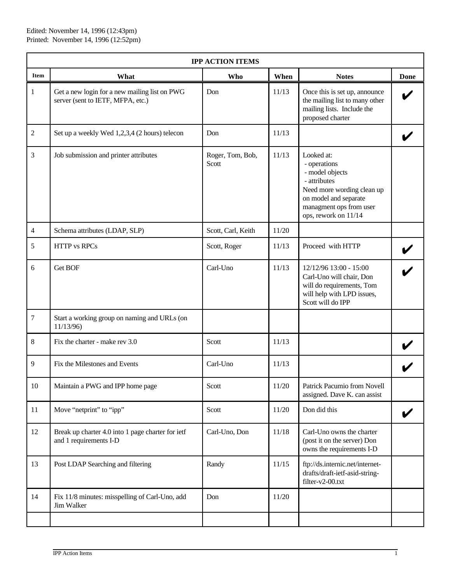| <b>IPP ACTION ITEMS</b> |                                                                                    |                           |       |                                                                                                                                                                         |             |  |  |  |  |
|-------------------------|------------------------------------------------------------------------------------|---------------------------|-------|-------------------------------------------------------------------------------------------------------------------------------------------------------------------------|-------------|--|--|--|--|
| <b>Item</b>             | What                                                                               | Who                       | When  | <b>Notes</b>                                                                                                                                                            | <b>Done</b> |  |  |  |  |
| $\mathbf{1}$            | Get a new login for a new mailing list on PWG<br>server (sent to IETF, MFPA, etc.) | Don                       | 11/13 | Once this is set up, announce<br>the mailing list to many other<br>mailing lists. Include the<br>proposed charter                                                       |             |  |  |  |  |
| $\sqrt{2}$              | Set up a weekly Wed 1,2,3,4 (2 hours) telecon                                      | Don                       | 11/13 |                                                                                                                                                                         |             |  |  |  |  |
| $\overline{3}$          | Job submission and printer attributes                                              | Roger, Tom, Bob,<br>Scott | 11/13 | Looked at:<br>- operations<br>- model objects<br>- attributes<br>Need more wording clean up<br>on model and separate<br>managment ops from user<br>ops, rework on 11/14 |             |  |  |  |  |
| $\overline{4}$          | Schema attributes (LDAP, SLP)                                                      | Scott, Carl, Keith        | 11/20 |                                                                                                                                                                         |             |  |  |  |  |
| 5                       | <b>HTTP</b> vs RPCs                                                                | Scott, Roger              | 11/13 | Proceed with HTTP                                                                                                                                                       |             |  |  |  |  |
| 6                       | Get BOF                                                                            | Carl-Uno                  | 11/13 | 12/12/96 13:00 - 15:00<br>Carl-Uno will chair, Don<br>will do requirements, Tom<br>will help with LPD issues,<br>Scott will do IPP                                      |             |  |  |  |  |
| $\boldsymbol{7}$        | Start a working group on naming and URLs (on<br>11/13/96)                          |                           |       |                                                                                                                                                                         |             |  |  |  |  |
| $\,8\,$                 | Fix the charter - make rev 3.0                                                     | Scott                     | 11/13 |                                                                                                                                                                         |             |  |  |  |  |
| 9                       | Fix the Milestones and Events                                                      | Carl-Uno                  | 11/13 |                                                                                                                                                                         |             |  |  |  |  |
| 10                      | Maintain a PWG and IPP home page                                                   | Scott                     | 11/20 | Patrick Pacumio from Novell<br>assigned. Dave K. can assist                                                                                                             |             |  |  |  |  |
| 11                      | Move "netprint" to "ipp"                                                           | Scott                     | 11/20 | Don did this                                                                                                                                                            |             |  |  |  |  |
| 12                      | Break up charter 4.0 into 1 page charter for ietf<br>and 1 requirements I-D        | Carl-Uno, Don             | 11/18 | Carl-Uno owns the charter<br>(post it on the server) Don<br>owns the requirements I-D                                                                                   |             |  |  |  |  |
| 13                      | Post LDAP Searching and filtering                                                  | Randy                     | 11/15 | ftp://ds.internic.net/internet-<br>drafts/draft-ietf-asid-string-<br>filter-v2-00.txt                                                                                   |             |  |  |  |  |
| 14                      | Fix 11/8 minutes: misspelling of Carl-Uno, add<br>Jim Walker                       | Don                       | 11/20 |                                                                                                                                                                         |             |  |  |  |  |
|                         |                                                                                    |                           |       |                                                                                                                                                                         |             |  |  |  |  |